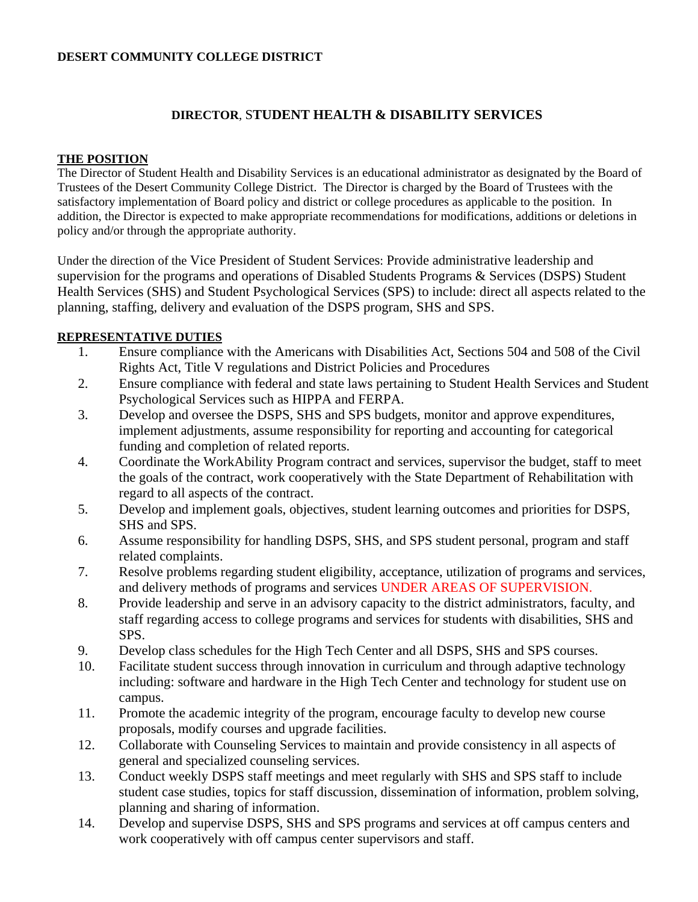## **DESERT COMMUNITY COLLEGE DISTRICT**

# **DIRECTOR**, S**TUDENT HEALTH & DISABILITY SERVICES**

#### **THE POSITION**

The Director of Student Health and Disability Services is an educational administrator as designated by the Board of Trustees of the Desert Community College District. The Director is charged by the Board of Trustees with the satisfactory implementation of Board policy and district or college procedures as applicable to the position. In addition, the Director is expected to make appropriate recommendations for modifications, additions or deletions in policy and/or through the appropriate authority.

Under the direction of the Vice President of Student Services: Provide administrative leadership and supervision for the programs and operations of Disabled Students Programs & Services (DSPS) Student Health Services (SHS) and Student Psychological Services (SPS) to include: direct all aspects related to the planning, staffing, delivery and evaluation of the DSPS program, SHS and SPS.

### **REPRESENTATIVE DUTIES**

- 1. Ensure compliance with the Americans with Disabilities Act, Sections 504 and 508 of the Civil Rights Act, Title V regulations and District Policies and Procedures
- 2. Ensure compliance with federal and state laws pertaining to Student Health Services and Student Psychological Services such as HIPPA and FERPA.
- 3. Develop and oversee the DSPS, SHS and SPS budgets, monitor and approve expenditures, implement adjustments, assume responsibility for reporting and accounting for categorical funding and completion of related reports.
- 4. Coordinate the WorkAbility Program contract and services, supervisor the budget, staff to meet the goals of the contract, work cooperatively with the State Department of Rehabilitation with regard to all aspects of the contract.
- 5. Develop and implement goals, objectives, student learning outcomes and priorities for DSPS, SHS and SPS.
- 6. Assume responsibility for handling DSPS, SHS, and SPS student personal, program and staff related complaints.
- 7. Resolve problems regarding student eligibility, acceptance, utilization of programs and services, and delivery methods of programs and services UNDER AREAS OF SUPERVISION.
- 8. Provide leadership and serve in an advisory capacity to the district administrators, faculty, and staff regarding access to college programs and services for students with disabilities, SHS and SPS.
- 9. Develop class schedules for the High Tech Center and all DSPS, SHS and SPS courses.
- 10. Facilitate student success through innovation in curriculum and through adaptive technology including: software and hardware in the High Tech Center and technology for student use on campus.
- 11. Promote the academic integrity of the program, encourage faculty to develop new course proposals, modify courses and upgrade facilities.
- 12. Collaborate with Counseling Services to maintain and provide consistency in all aspects of general and specialized counseling services.
- 13. Conduct weekly DSPS staff meetings and meet regularly with SHS and SPS staff to include student case studies, topics for staff discussion, dissemination of information, problem solving, planning and sharing of information.
- 14. Develop and supervise DSPS, SHS and SPS programs and services at off campus centers and work cooperatively with off campus center supervisors and staff.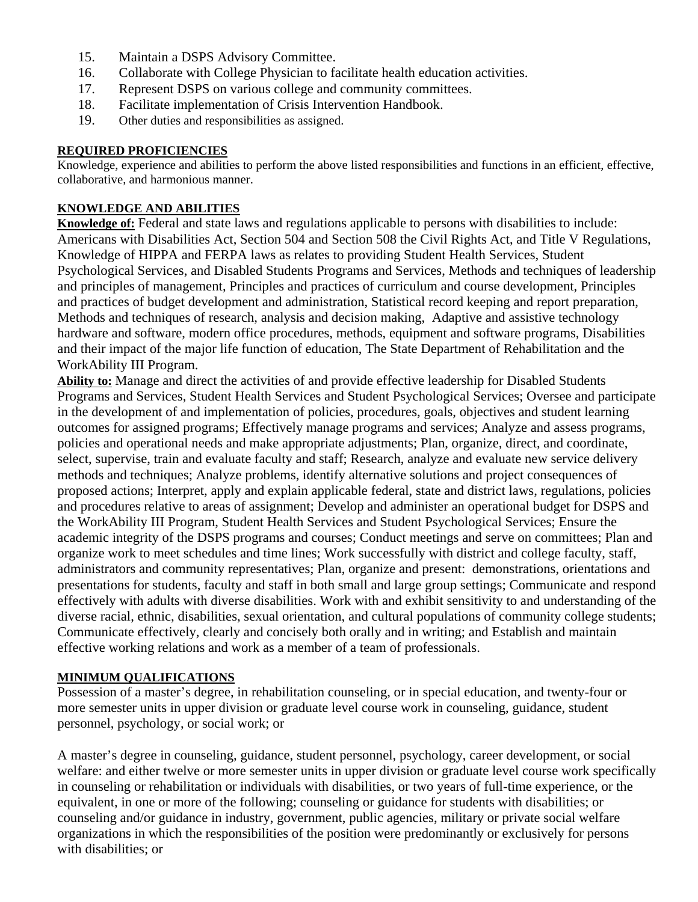- 15. Maintain a DSPS Advisory Committee.
- 16. Collaborate with College Physician to facilitate health education activities.
- 17. Represent DSPS on various college and community committees.
- 18. Facilitate implementation of Crisis Intervention Handbook.
- 19. Other duties and responsibilities as assigned.

## **REQUIRED PROFICIENCIES**

Knowledge, experience and abilities to perform the above listed responsibilities and functions in an efficient, effective, collaborative, and harmonious manner.

## **KNOWLEDGE AND ABILITIES**

**Knowledge of:** Federal and state laws and regulations applicable to persons with disabilities to include: Americans with Disabilities Act, Section 504 and Section 508 the Civil Rights Act, and Title V Regulations, Knowledge of HIPPA and FERPA laws as relates to providing Student Health Services, Student Psychological Services, and Disabled Students Programs and Services, Methods and techniques of leadership and principles of management, Principles and practices of curriculum and course development, Principles and practices of budget development and administration, Statistical record keeping and report preparation, Methods and techniques of research, analysis and decision making, Adaptive and assistive technology hardware and software, modern office procedures, methods, equipment and software programs, Disabilities and their impact of the major life function of education, The State Department of Rehabilitation and the WorkAbility III Program.

**Ability to:** Manage and direct the activities of and provide effective leadership for Disabled Students Programs and Services, Student Health Services and Student Psychological Services; Oversee and participate in the development of and implementation of policies, procedures, goals, objectives and student learning outcomes for assigned programs; Effectively manage programs and services; Analyze and assess programs, policies and operational needs and make appropriate adjustments; Plan, organize, direct, and coordinate, select, supervise, train and evaluate faculty and staff; Research, analyze and evaluate new service delivery methods and techniques; Analyze problems, identify alternative solutions and project consequences of proposed actions; Interpret, apply and explain applicable federal, state and district laws, regulations, policies and procedures relative to areas of assignment; Develop and administer an operational budget for DSPS and the WorkAbility III Program, Student Health Services and Student Psychological Services; Ensure the academic integrity of the DSPS programs and courses; Conduct meetings and serve on committees; Plan and organize work to meet schedules and time lines; Work successfully with district and college faculty, staff, administrators and community representatives; Plan, organize and present: demonstrations, orientations and presentations for students, faculty and staff in both small and large group settings; Communicate and respond effectively with adults with diverse disabilities. Work with and exhibit sensitivity to and understanding of the diverse racial, ethnic, disabilities, sexual orientation, and cultural populations of community college students; Communicate effectively, clearly and concisely both orally and in writing; and Establish and maintain effective working relations and work as a member of a team of professionals.

# **MINIMUM QUALIFICATIONS**

Possession of a master's degree, in rehabilitation counseling, or in special education, and twenty-four or more semester units in upper division or graduate level course work in counseling, guidance, student personnel, psychology, or social work; or

A master's degree in counseling, guidance, student personnel, psychology, career development, or social welfare: and either twelve or more semester units in upper division or graduate level course work specifically in counseling or rehabilitation or individuals with disabilities, or two years of full-time experience, or the equivalent, in one or more of the following; counseling or guidance for students with disabilities; or counseling and/or guidance in industry, government, public agencies, military or private social welfare organizations in which the responsibilities of the position were predominantly or exclusively for persons with disabilities; or